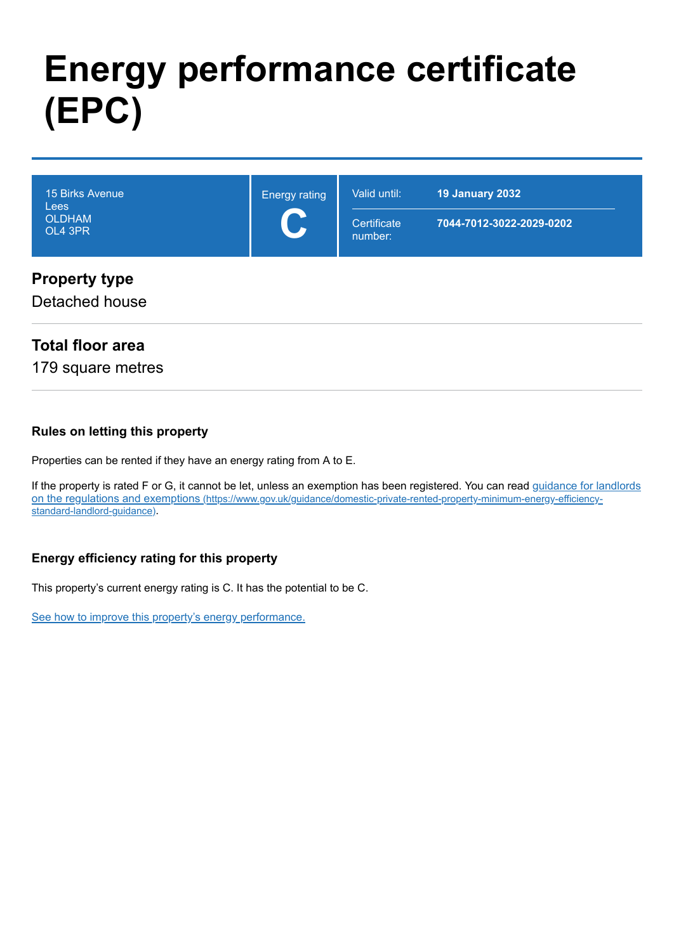# **Energy performance certificate (EPC)**

| 15 Birks Avenue<br>Lees<br><b>OLDHAM</b><br>OL4 3PR | <b>Energy rating</b> | Valid until:<br>Certificate<br>number: | 19 January 2032<br>7044-7012-3022-2029-0202 |
|-----------------------------------------------------|----------------------|----------------------------------------|---------------------------------------------|
| <b>Property type</b><br>Detached house              |                      |                                        |                                             |

# **Total floor area**

179 square metres

## **Rules on letting this property**

Properties can be rented if they have an energy rating from A to E.

[If the property is rated F or G, it cannot be let, unless an exemption has been registered. You can read guidance for landlords](https://www.gov.uk/guidance/domestic-private-rented-property-minimum-energy-efficiency-standard-landlord-guidance) on the regulations and exemptions (https://www.gov.uk/guidance/domestic-private-rented-property-minimum-energy-efficiencystandard-landlord-guidance).

## **Energy efficiency rating for this property**

This property's current energy rating is C. It has the potential to be C.

[See how to improve this property's energy performance.](#page-4-0)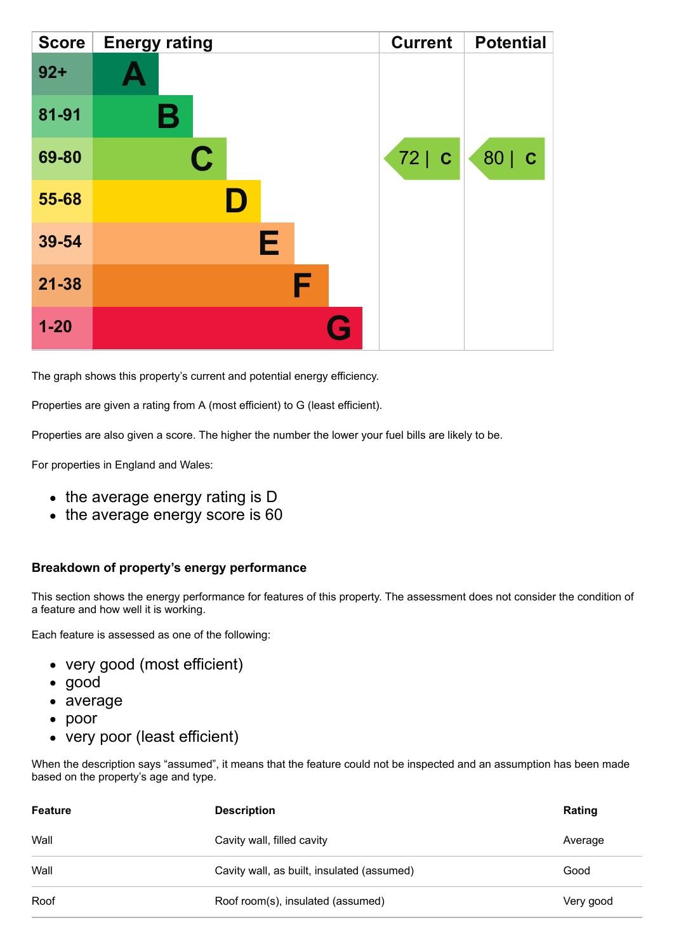| <b>Score</b> | <b>Energy rating</b> | <b>Current</b> | <b>Potential</b> |
|--------------|----------------------|----------------|------------------|
| $92 +$       |                      |                |                  |
| 81-91        | Β                    |                |                  |
| 69-80        | $\mathbf C$          | 72 C           | 80   C           |
| 55-68        |                      |                |                  |
| 39-54        | E                    |                |                  |
| $21 - 38$    | F                    |                |                  |
| $1 - 20$     | Q                    |                |                  |

The graph shows this property's current and potential energy efficiency.

Properties are given a rating from A (most efficient) to G (least efficient).

Properties are also given a score. The higher the number the lower your fuel bills are likely to be.

For properties in England and Wales:

- the average energy rating is D
- the average energy score is 60

### **Breakdown of property's energy performance**

This section shows the energy performance for features of this property. The assessment does not consider the condition of a feature and how well it is working.

Each feature is assessed as one of the following:

- very good (most efficient)
- good
- average
- poor
- very poor (least efficient)

When the description says "assumed", it means that the feature could not be inspected and an assumption has been made based on the property's age and type.

| <b>Feature</b> | <b>Description</b>                         | Rating    |
|----------------|--------------------------------------------|-----------|
| Wall           | Cavity wall, filled cavity                 | Average   |
| Wall           | Cavity wall, as built, insulated (assumed) | Good      |
| Roof           | Roof room(s), insulated (assumed)          | Very good |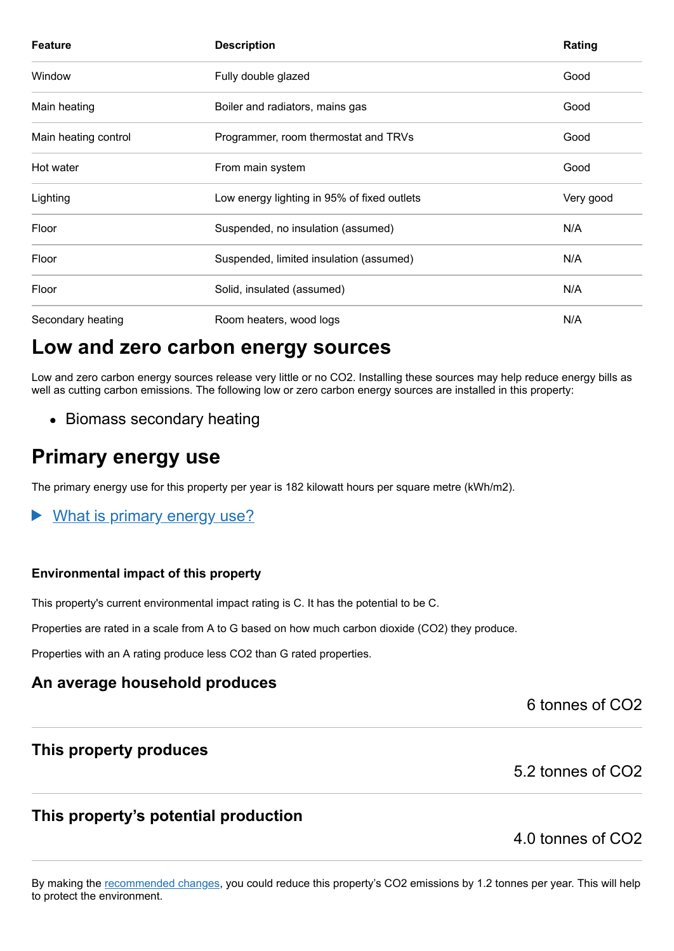| <b>Feature</b>       | <b>Description</b>                          | Rating    |
|----------------------|---------------------------------------------|-----------|
| Window               | Fully double glazed                         | Good      |
| Main heating         | Boiler and radiators, mains gas             | Good      |
| Main heating control | Programmer, room thermostat and TRVs        | Good      |
| Hot water            | From main system                            | Good      |
| Lighting             | Low energy lighting in 95% of fixed outlets | Very good |
| Floor                | Suspended, no insulation (assumed)          | N/A       |
| Floor                | Suspended, limited insulation (assumed)     | N/A       |
| Floor                | Solid, insulated (assumed)                  | N/A       |
| Secondary heating    | Room heaters, wood logs                     | N/A       |

# **Low and zero carbon energy sources**

Low and zero carbon energy sources release very little or no CO2. Installing these sources may help reduce energy bills as well as cutting carbon emissions. The following low or zero carbon energy sources are installed in this property:

• Biomass secondary heating

# **Primary energy use**

The primary energy use for this property per year is 182 kilowatt hours per square metre (kWh/m2).

What is primary energy use?

### **Environmental impact of this property**

This property's current environmental impact rating is C. It has the potential to be C.

Properties are rated in a scale from A to G based on how much carbon dioxide (CO2) they produce.

Properties with an A rating produce less CO2 than G rated properties.

# **An average household produces**

6 tonnes of CO2

## **This property produces**

# 5.2 tonnes of CO2

# **This property's potential production**

# 4.0 tonnes of CO2

By making the [recommended changes,](#page-4-0) you could reduce this property's CO2 emissions by 1.2 tonnes per year. This will help to protect the environment.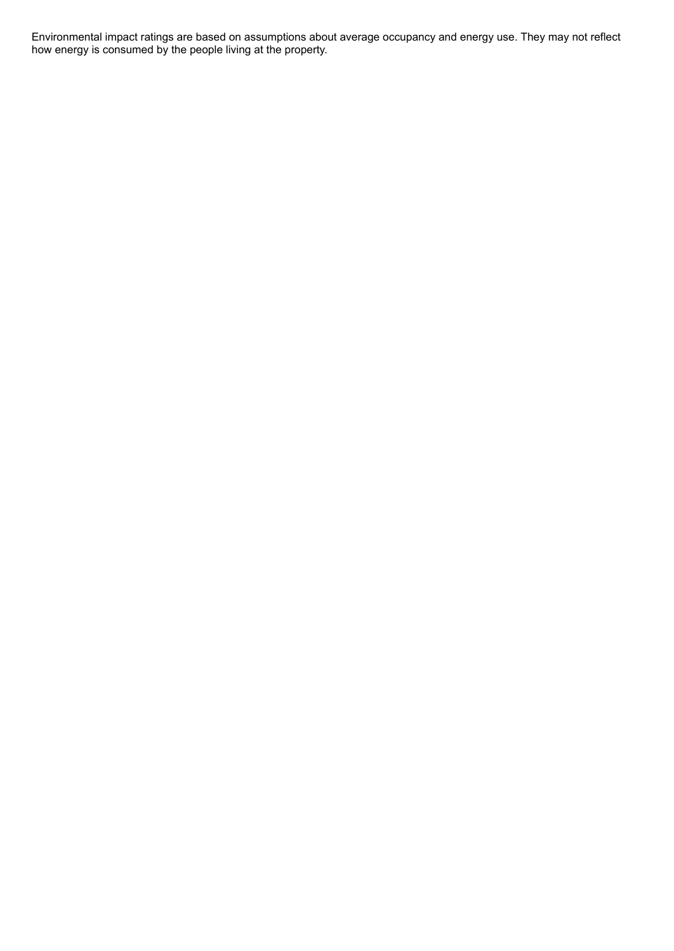Environmental impact ratings are based on assumptions about average occupancy and energy use. They may not reflect how energy is consumed by the people living at the property.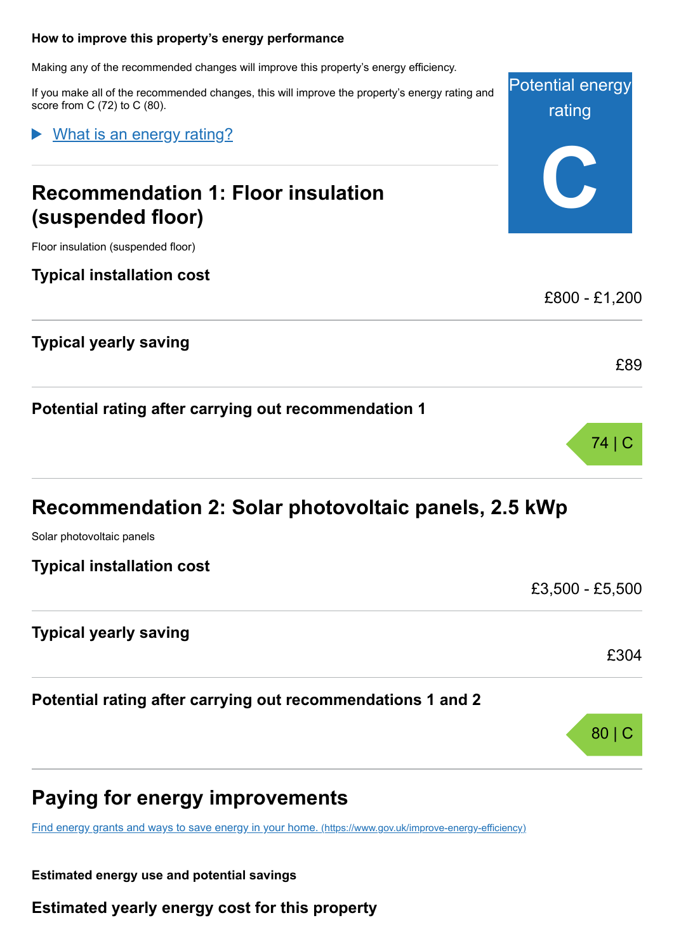#### <span id="page-4-0"></span>**How to improve this property's energy performance**

Making any of the recommended changes will improve this property's energy efficiency.

If you make all of the recommended changes, this will improve the property's energy rating and score from C (72) to C (80).

What is an energy rating?

# **Recommendation 1: Floor insulation (suspended floor)**

Floor insulation (suspended floor)

**Typical installation cost**

**Typical yearly saving**

**Potential rating after carrying out recommendation 1**

Solar photovoltaic panels

**Typical installation cost**

£3,500 - £5,500

£304

80 | C

Potential energy

rating

**C**

£800 - £1,200

£89

74 | C

**Typical yearly saving**

**Potential rating after carrying out recommendations 1 and 2**

# **Paying for energy improvements**

[Find energy grants and ways to save energy in your home.](https://www.gov.uk/improve-energy-efficiency) (https://www.gov.uk/improve-energy-efficiency)

**Estimated energy use and potential savings**

**Estimated yearly energy cost for this property**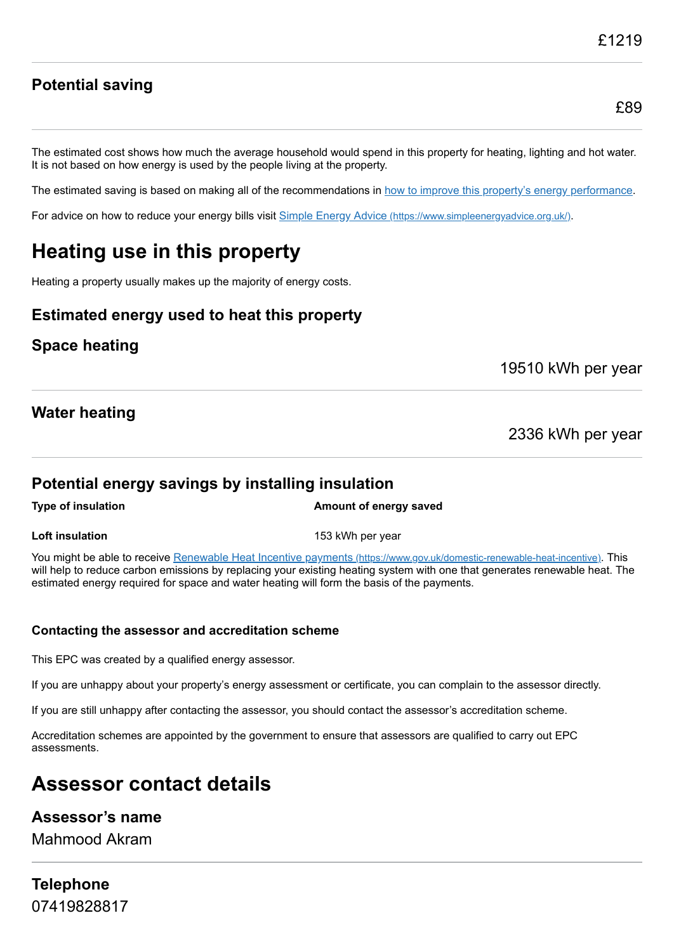£89

# **Potential saving**

The estimated cost shows how much the average household would spend in this property for heating, lighting and hot water. It is not based on how energy is used by the people living at the property.

The estimated saving is based on making all of the recommendations in [how to improve this property's energy performance.](#page-4-0)

For advice on how to reduce your energy bills visit Simple Energy Advice [\(https://www.simpleenergyadvice.org.uk/\)](https://www.simpleenergyadvice.org.uk/).

# **Heating use in this property**

Heating a property usually makes up the majority of energy costs.

# **Estimated energy used to heat this property**

## **Space heating**

19510 kWh per year

# **Water heating**

2336 kWh per year

## **Potential energy savings by installing insulation**

**Type of insulation Amount of energy saved** 

**Loft insulation** 153 kWh per year

You might be able to receive Renewable Heat Incentive payments [\(https://www.gov.uk/domestic-renewable-heat-incentive\)](https://www.gov.uk/domestic-renewable-heat-incentive). This will help to reduce carbon emissions by replacing your existing heating system with one that generates renewable heat. The estimated energy required for space and water heating will form the basis of the payments.

### **Contacting the assessor and accreditation scheme**

This EPC was created by a qualified energy assessor.

If you are unhappy about your property's energy assessment or certificate, you can complain to the assessor directly.

If you are still unhappy after contacting the assessor, you should contact the assessor's accreditation scheme.

Accreditation schemes are appointed by the government to ensure that assessors are qualified to carry out EPC assessments.

# **Assessor contact details**

## **Assessor's name**

Mahmood Akram

**Telephone** 07419828817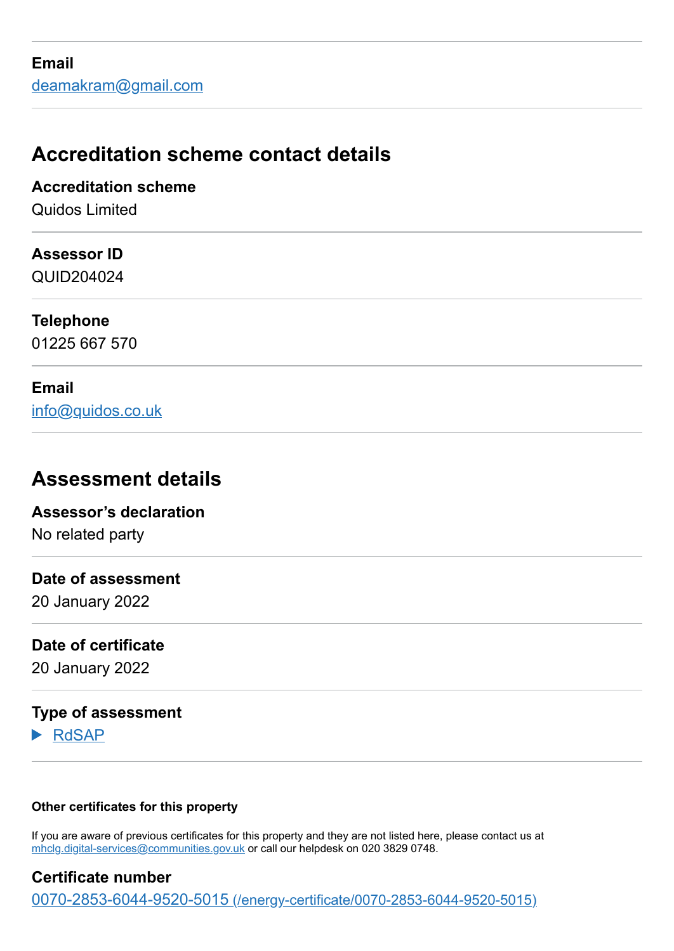# **Accreditation scheme contact details**

**Accreditation scheme** Quidos Limited

**Assessor ID**

QUID204024

**Telephone** 01225 667 570

**Email** [info@quidos.co.uk](mailto:info@quidos.co.uk)

# **Assessment details**

**Assessor's declaration** No related party

**Date of assessment**

20 January 2022

**Date of certificate**

20 January 2022

# **Type of assessment**

RdSAP

## **Other certificates for this property**

If you are aware of previous certificates for this property and they are not listed here, please contact us at [mhclg.digital-services@communities.gov.uk](mailto:mhclg.digital-services@communities.gov.uk?subject=EPB%20-) or call our helpdesk on 020 3829 0748.

**Certificate number** 0070-2853-6044-9520-5015 [\(/energy-certificate/0070-2853-6044-9520-5015\)](https://find-energy-certificate.service.gov.uk/energy-certificate/0070-2853-6044-9520-5015)